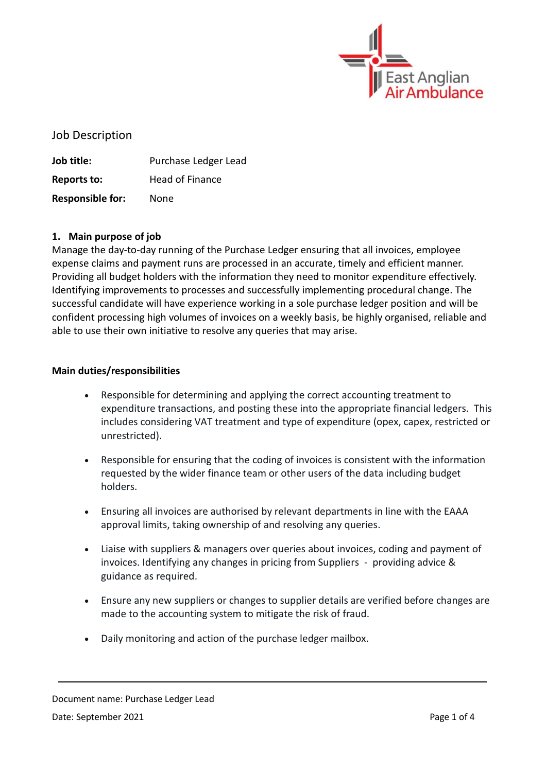

Job Description

**Job title:** Purchase Ledger Lead **Reports to:** Head of Finance **Responsible for:** None

## **1. Main purpose of job**

Manage the day-to-day running of the Purchase Ledger ensuring that all invoices, employee expense claims and payment runs are processed in an accurate, timely and efficient manner. Providing all budget holders with the information they need to monitor expenditure effectively. Identifying improvements to processes and successfully implementing procedural change. The successful candidate will have experience working in a sole purchase ledger position and will be confident processing high volumes of invoices on a weekly basis, be highly organised, reliable and able to use their own initiative to resolve any queries that may arise.

## **Main duties/responsibilities**

- Responsible for determining and applying the correct accounting treatment to expenditure transactions, and posting these into the appropriate financial ledgers. This includes considering VAT treatment and type of expenditure (opex, capex, restricted or unrestricted).
- Responsible for ensuring that the coding of invoices is consistent with the information requested by the wider finance team or other users of the data including budget holders.
- Ensuring all invoices are authorised by relevant departments in line with the EAAA approval limits, taking ownership of and resolving any queries.
- Liaise with suppliers & managers over queries about invoices, coding and payment of invoices. Identifying any changes in pricing from Suppliers - providing advice & guidance as required.
- Ensure any new suppliers or changes to supplier details are verified before changes are made to the accounting system to mitigate the risk of fraud.
- Daily monitoring and action of the purchase ledger mailbox.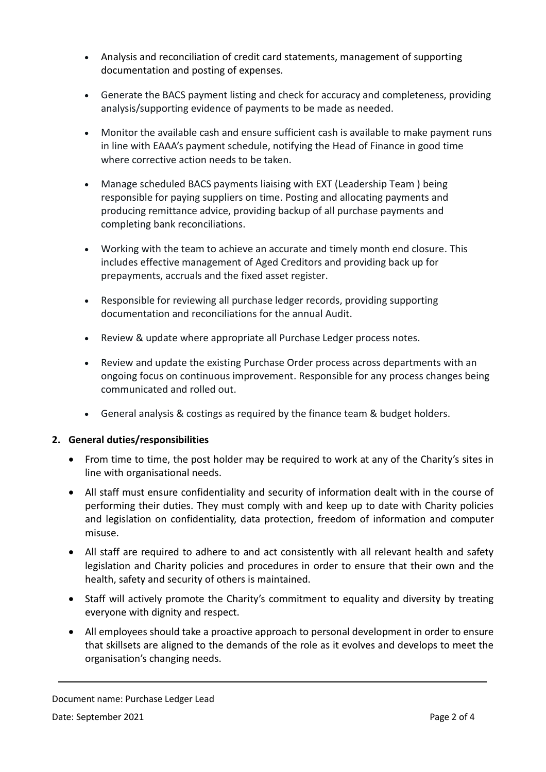- Analysis and reconciliation of credit card statements, management of supporting documentation and posting of expenses.
- Generate the BACS payment listing and check for accuracy and completeness, providing analysis/supporting evidence of payments to be made as needed.
- Monitor the available cash and ensure sufficient cash is available to make payment runs in line with EAAA's payment schedule, notifying the Head of Finance in good time where corrective action needs to be taken.
- Manage scheduled BACS payments liaising with EXT (Leadership Team ) being responsible for paying suppliers on time. Posting and allocating payments and producing remittance advice, providing backup of all purchase payments and completing bank reconciliations.
- Working with the team to achieve an accurate and timely month end closure. This includes effective management of Aged Creditors and providing back up for prepayments, accruals and the fixed asset register.
- Responsible for reviewing all purchase ledger records, providing supporting documentation and reconciliations for the annual Audit.
- Review & update where appropriate all Purchase Ledger process notes.
- Review and update the existing Purchase Order process across departments with an ongoing focus on continuous improvement. Responsible for any process changes being communicated and rolled out.
- General analysis & costings as required by the finance team & budget holders.

## **2. General duties/responsibilities**

- From time to time, the post holder may be required to work at any of the Charity's sites in line with organisational needs.
- All staff must ensure confidentiality and security of information dealt with in the course of performing their duties. They must comply with and keep up to date with Charity policies and legislation on confidentiality, data protection, freedom of information and computer misuse.
- All staff are required to adhere to and act consistently with all relevant health and safety legislation and Charity policies and procedures in order to ensure that their own and the health, safety and security of others is maintained.
- Staff will actively promote the Charity's commitment to equality and diversity by treating everyone with dignity and respect.
- All employees should take a proactive approach to personal development in order to ensure that skillsets are aligned to the demands of the role as it evolves and develops to meet the organisation's changing needs.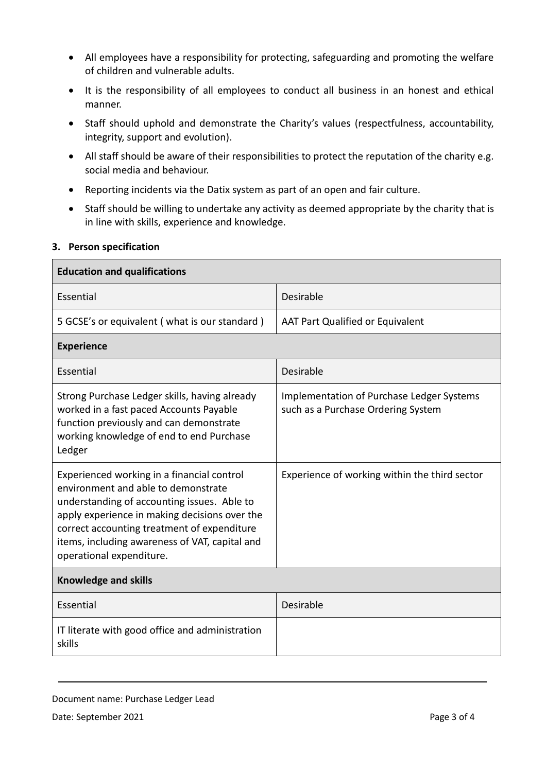- All employees have a responsibility for protecting, safeguarding and promoting the welfare of children and vulnerable adults.
- It is the responsibility of all employees to conduct all business in an honest and ethical manner.
- Staff should uphold and demonstrate the Charity's values (respectfulness, accountability, integrity, support and evolution).
- All staff should be aware of their responsibilities to protect the reputation of the charity e.g. social media and behaviour.
- Reporting incidents via the Datix system as part of an open and fair culture.
- Staff should be willing to undertake any activity as deemed appropriate by the charity that is in line with skills, experience and knowledge.

## **3. Person specification**

| <b>Education and qualifications</b>                                                                                                                                                                                                                                                                            |                                                                                        |
|----------------------------------------------------------------------------------------------------------------------------------------------------------------------------------------------------------------------------------------------------------------------------------------------------------------|----------------------------------------------------------------------------------------|
| Essential                                                                                                                                                                                                                                                                                                      | Desirable                                                                              |
| 5 GCSE's or equivalent (what is our standard)                                                                                                                                                                                                                                                                  | AAT Part Qualified or Equivalent                                                       |
| <b>Experience</b>                                                                                                                                                                                                                                                                                              |                                                                                        |
| Essential                                                                                                                                                                                                                                                                                                      | Desirable                                                                              |
| Strong Purchase Ledger skills, having already<br>worked in a fast paced Accounts Payable<br>function previously and can demonstrate<br>working knowledge of end to end Purchase<br>Ledger                                                                                                                      | <b>Implementation of Purchase Ledger Systems</b><br>such as a Purchase Ordering System |
| Experienced working in a financial control<br>environment and able to demonstrate<br>understanding of accounting issues. Able to<br>apply experience in making decisions over the<br>correct accounting treatment of expenditure<br>items, including awareness of VAT, capital and<br>operational expenditure. | Experience of working within the third sector                                          |
| <b>Knowledge and skills</b>                                                                                                                                                                                                                                                                                    |                                                                                        |
| Essential                                                                                                                                                                                                                                                                                                      | Desirable                                                                              |
| IT literate with good office and administration<br>skills                                                                                                                                                                                                                                                      |                                                                                        |